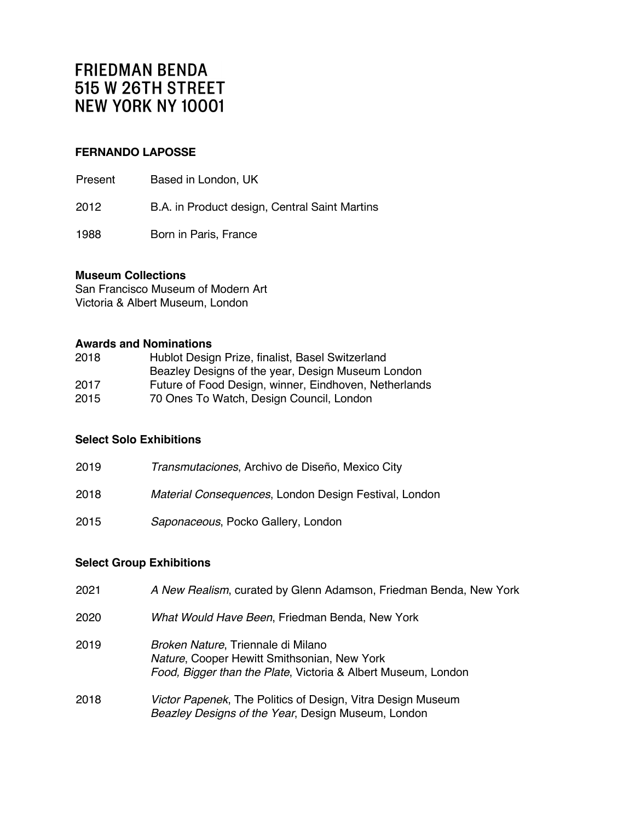### **FERNANDO LAPOSSE**

Present Based in London, UK

2012 B.A. in Product design, Central Saint Martins

1988 Born in Paris, France

#### **Museum Collections**

San Francisco Museum of Modern Art Victoria & Albert Museum, London

#### **Awards and Nominations**

| Hublot Design Prize, finalist, Basel Switzerland      |
|-------------------------------------------------------|
| Beazley Designs of the year, Design Museum London     |
| Future of Food Design, winner, Eindhoven, Netherlands |
| 70 Ones To Watch, Design Council, London              |
|                                                       |

### **Select Solo Exhibitions**

| 2019 | Transmutaciones, Archivo de Diseño, Mexico City       |
|------|-------------------------------------------------------|
| 2018 | Material Consequences, London Design Festival, London |
| 2015 | Saponaceous, Pocko Gallery, London                    |

### **Select Group Exhibitions**

| 2021 | A New Realism, curated by Glenn Adamson, Friedman Benda, New York                                                                                  |
|------|----------------------------------------------------------------------------------------------------------------------------------------------------|
| 2020 | What Would Have Been, Friedman Benda, New York                                                                                                     |
| 2019 | Broken Nature, Triennale di Milano<br>Nature, Cooper Hewitt Smithsonian, New York<br>Food, Bigger than the Plate, Victoria & Albert Museum, London |
| 2018 | Victor Papenek, The Politics of Design, Vitra Design Museum<br>Beazley Designs of the Year, Design Museum, London                                  |